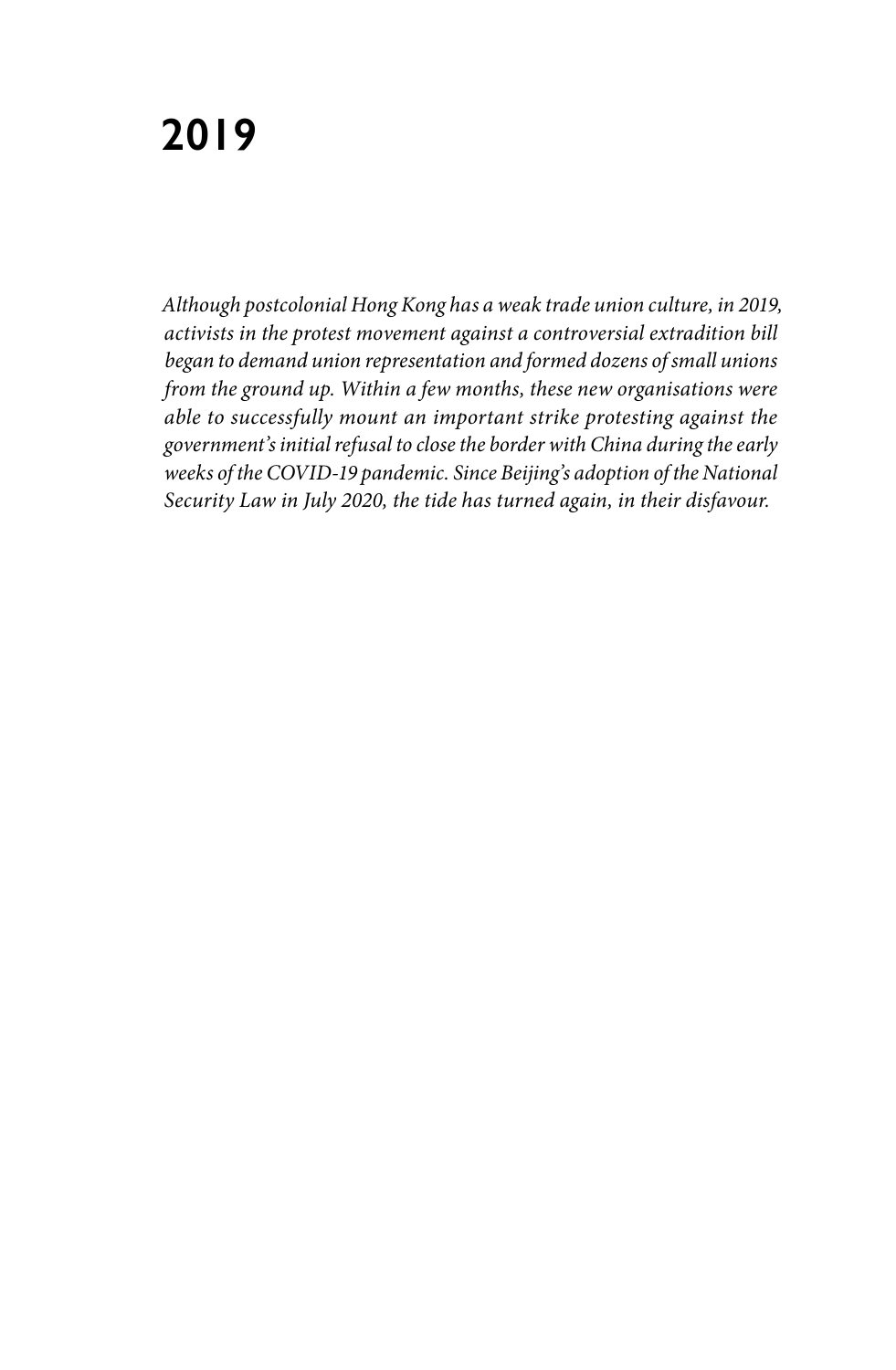*Although postcolonial Hong Kong has a weak trade union culture, in 2019, activists in the protest movement against a controversial extradition bill began to demand union representation and formed dozens of small unions from the ground up. Within a few months, these new organisations were able to successfully mount an important strike protesting against the government's initial refusal to close the border with China during the early weeks of the COVID-19 pandemic. Since Beijing's adoption of the National Security Law in July 2020, the tide has turned again, in their disfavour.*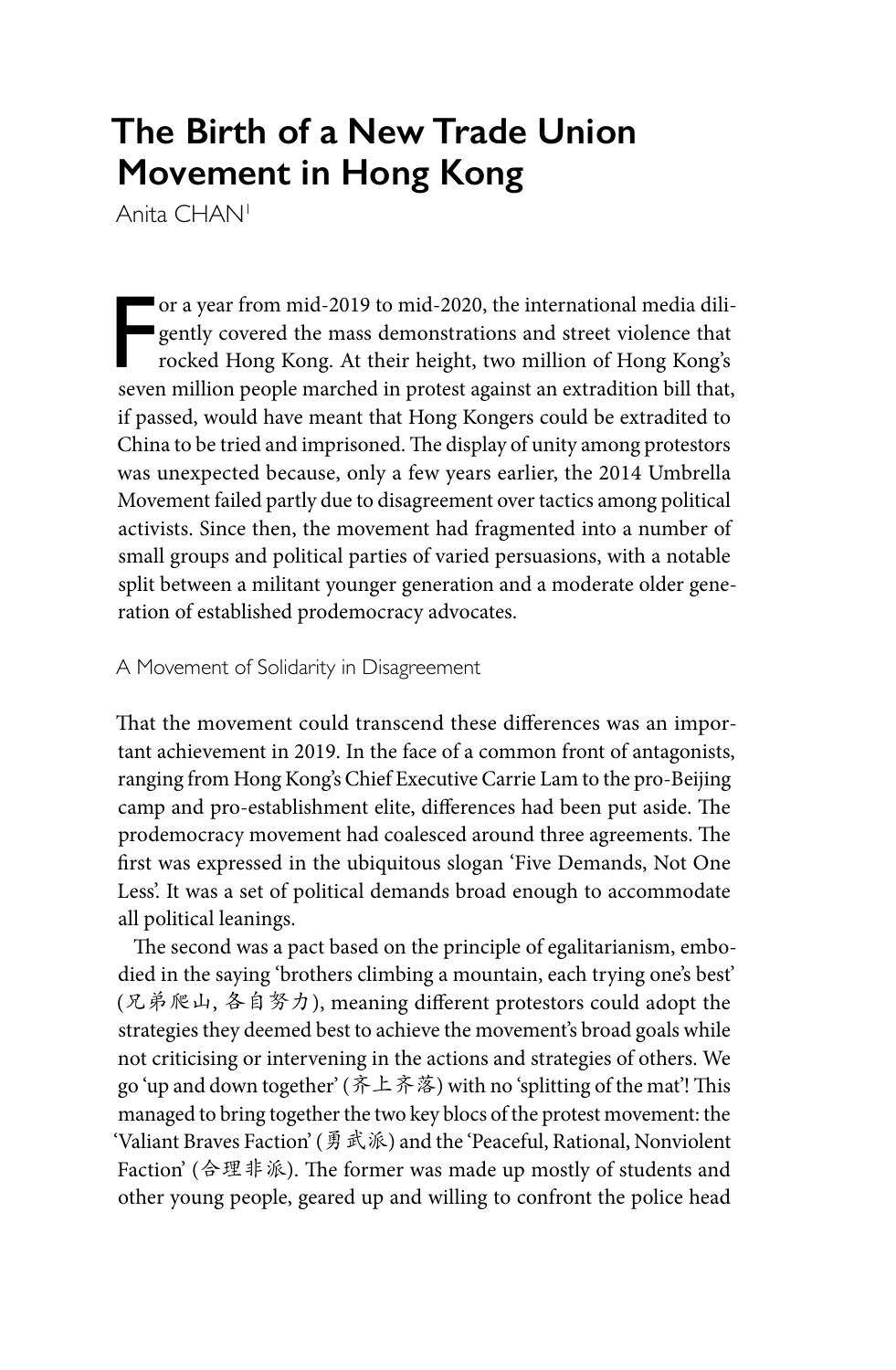# **The Birth of a New Trade Union Movement in Hong Kong**

Anita CHAN1

Ferrari or a year from mid-2019 to mid-2020, the international media diligently covered the mass demonstrations and street violence that rocked Hong Kong. At their height, two million of Hong Kong's seven million people marched in protest against an extradition bill that, if passed, would have meant that Hong Kongers could be extradited to China to be tried and imprisoned. The display of unity among protestors was unexpected because, only a few years earlier, the 2014 Umbrella Movement failed partly due to disagreement over tactics among political activists. Since then, the movement had fragmented into a number of small groups and political parties of varied persuasions, with a notable split between a militant younger generation and a moderate older generation of established prodemocracy advocates.

# A Movement of Solidarity in Disagreement

That the movement could transcend these differences was an important achievement in 2019. In the face of a common front of antagonists, ranging from Hong Kong's Chief Executive Carrie Lam to the pro-Beijing camp and pro-establishment elite, differences had been put aside. The prodemocracy movement had coalesced around three agreements. The first was expressed in the ubiquitous slogan 'Five Demands, Not One Less'. It was a set of political demands broad enough to accommodate all political leanings.

The second was a pact based on the principle of egalitarianism, embodied in the saying 'brothers climbing a mountain, each trying one's best' (兄弟爬山, 各自努力), meaning different protestors could adopt the strategies they deemed best to achieve the movement's broad goals while not criticising or intervening in the actions and strategies of others. We go 'up and down together' (齐上齐落) with no 'splitting of the mat'! This managed to bring together the two key blocs of the protest movement: the 'Valiant Braves Faction' (勇武派) and the 'Peaceful, Rational, Nonviolent Faction' (合理非派). The former was made up mostly of students and other young people, geared up and willing to confront the police head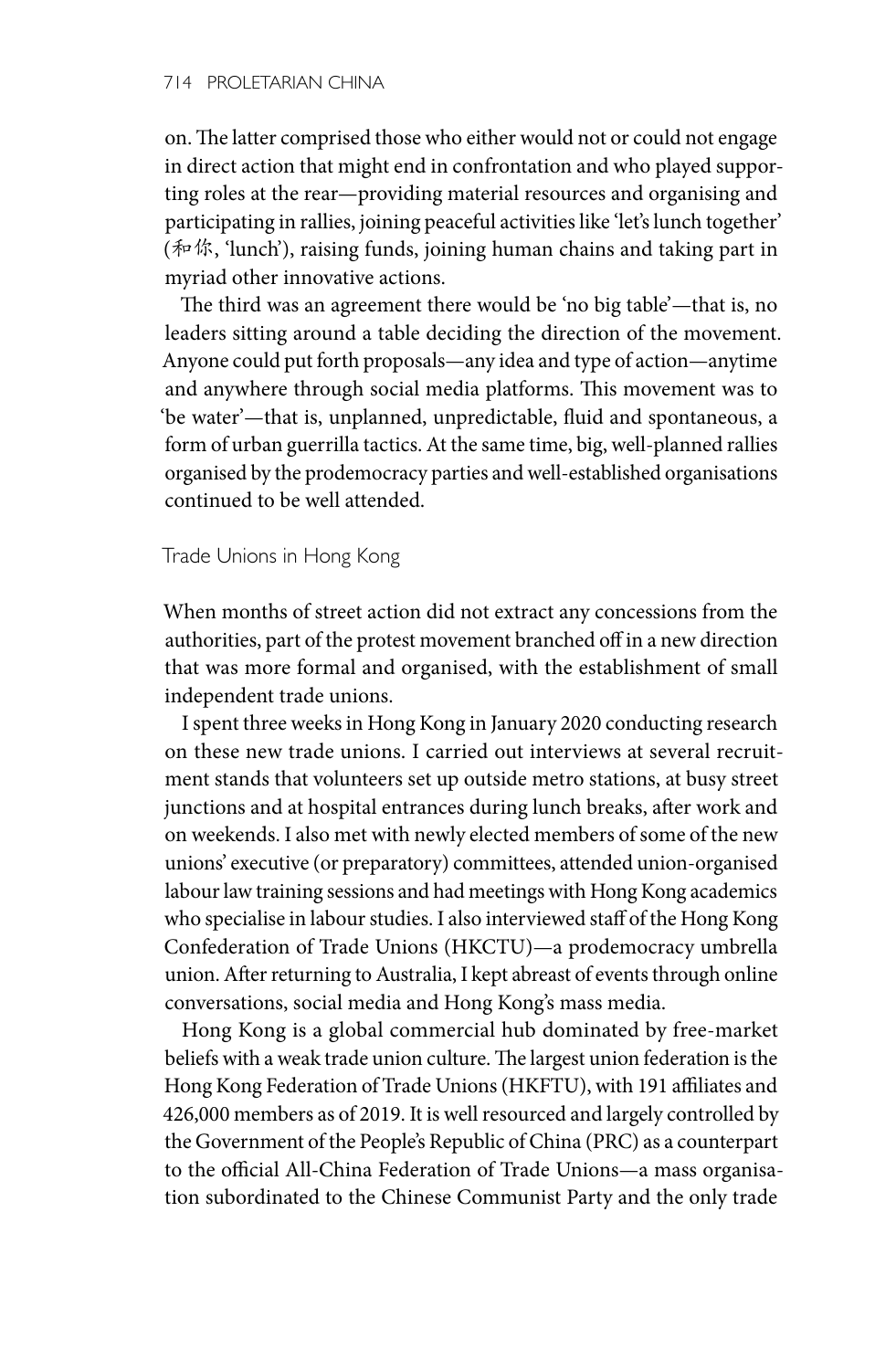on. The latter comprised those who either would not or could not engage in direct action that might end in confrontation and who played supporting roles at the rear—providing material resources and organising and participating in rallies, joining peaceful activities like 'let's lunch together' (和你, 'lunch'), raising funds, joining human chains and taking part in myriad other innovative actions.

The third was an agreement there would be 'no big table'—that is, no leaders sitting around a table deciding the direction of the movement. Anyone could put forth proposals—any idea and type of action—anytime and anywhere through social media platforms. This movement was to 'be water'—that is, unplanned, unpredictable, fluid and spontaneous, a form of urban guerrilla tactics. At the same time, big, well-planned rallies organised by the prodemocracy parties and well-established organisations continued to be well attended.

# Trade Unions in Hong Kong

When months of street action did not extract any concessions from the authorities, part of the protest movement branched off in a new direction that was more formal and organised, with the establishment of small independent trade unions.

I spent three weeks in Hong Kong in January 2020 conducting research on these new trade unions. I carried out interviews at several recruitment stands that volunteers set up outside metro stations, at busy street junctions and at hospital entrances during lunch breaks, after work and on weekends. I also met with newly elected members of some of the new unions' executive (or preparatory) committees, attended union-organised labour law training sessions and had meetings with Hong Kong academics who specialise in labour studies. I also interviewed staff of the Hong Kong Confederation of Trade Unions (HKCTU)—a prodemocracy umbrella union. After returning to Australia, I kept abreast of events through online conversations, social media and Hong Kong's mass media.

Hong Kong is a global commercial hub dominated by free-market beliefs with a weak trade union culture. The largest union federation is the Hong Kong Federation of Trade Unions (HKFTU), with 191 affiliates and 426,000 members as of 2019. It is well resourced and largely controlled by the Government of the People's Republic of China (PRC) as a counterpart to the official All-China Federation of Trade Unions—a mass organisation subordinated to the Chinese Communist Party and the only trade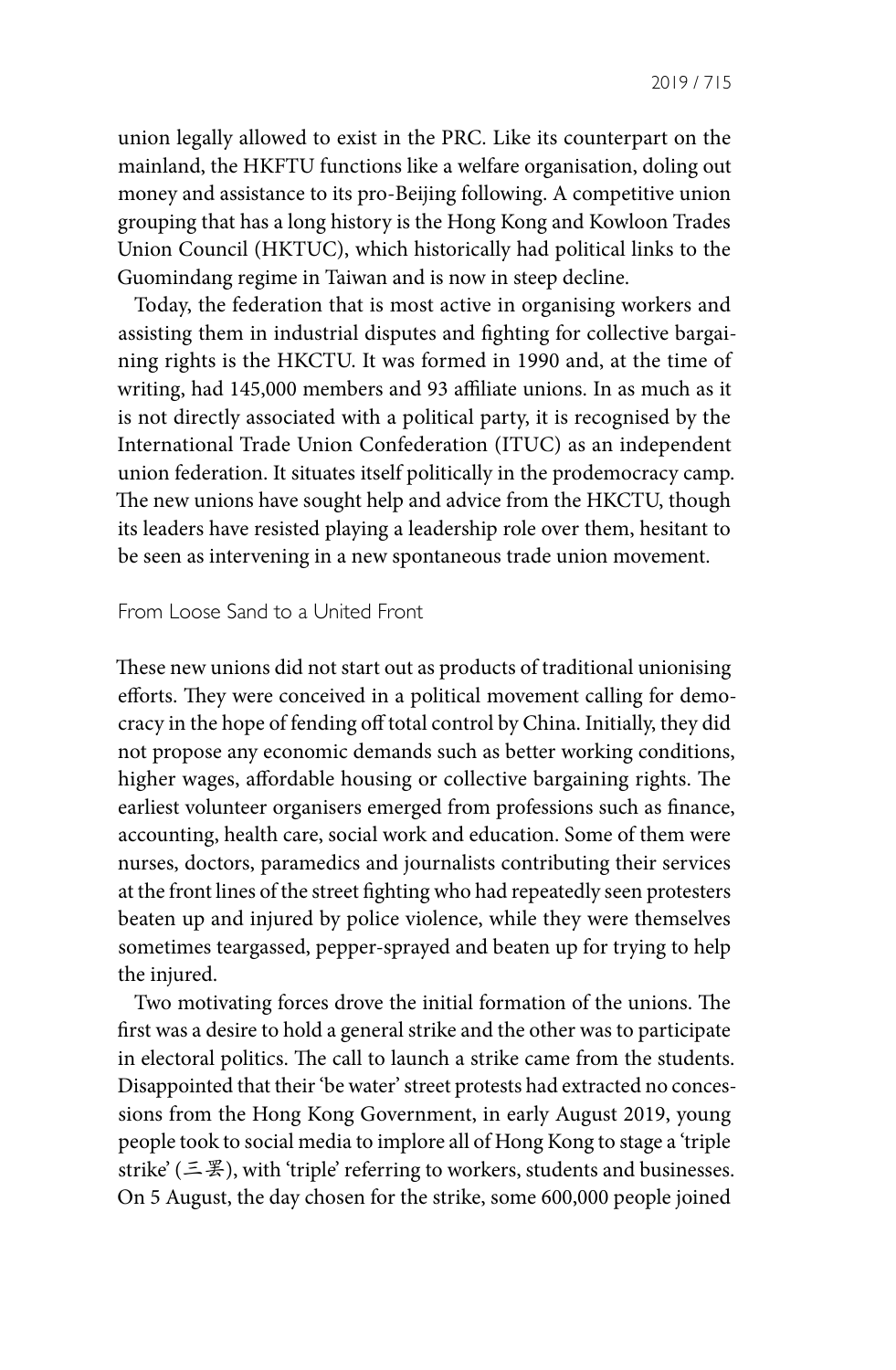union legally allowed to exist in the PRC. Like its counterpart on the mainland, the HKFTU functions like a welfare organisation, doling out money and assistance to its pro-Beijing following. A competitive union grouping that has a long history is the Hong Kong and Kowloon Trades Union Council (HKTUC), which historically had political links to the Guomindang regime in Taiwan and is now in steep decline.

Today, the federation that is most active in organising workers and assisting them in industrial disputes and fighting for collective bargaining rights is the HKCTU. It was formed in 1990 and, at the time of writing, had 145,000 members and 93 affiliate unions. In as much as it is not directly associated with a political party, it is recognised by the International Trade Union Confederation (ITUC) as an independent union federation. It situates itself politically in the prodemocracy camp. The new unions have sought help and advice from the HKCTU, though its leaders have resisted playing a leadership role over them, hesitant to be seen as intervening in a new spontaneous trade union movement.

#### From Loose Sand to a United Front

These new unions did not start out as products of traditional unionising efforts. They were conceived in a political movement calling for democracy in the hope of fending off total control by China. Initially, they did not propose any economic demands such as better working conditions, higher wages, affordable housing or collective bargaining rights. The earliest volunteer organisers emerged from professions such as finance, accounting, health care, social work and education. Some of them were nurses, doctors, paramedics and journalists contributing their services at the front lines of the street fighting who had repeatedly seen protesters beaten up and injured by police violence, while they were themselves sometimes teargassed, pepper-sprayed and beaten up for trying to help the injured.

Two motivating forces drove the initial formation of the unions. The first was a desire to hold a general strike and the other was to participate in electoral politics. The call to launch a strike came from the students. Disappointed that their 'be water' street protests had extracted no concessions from the Hong Kong Government, in early August 2019, young people took to social media to implore all of Hong Kong to stage a 'triple strike' (三罢), with 'triple' referring to workers, students and businesses. On 5 August, the day chosen for the strike, some 600,000 people joined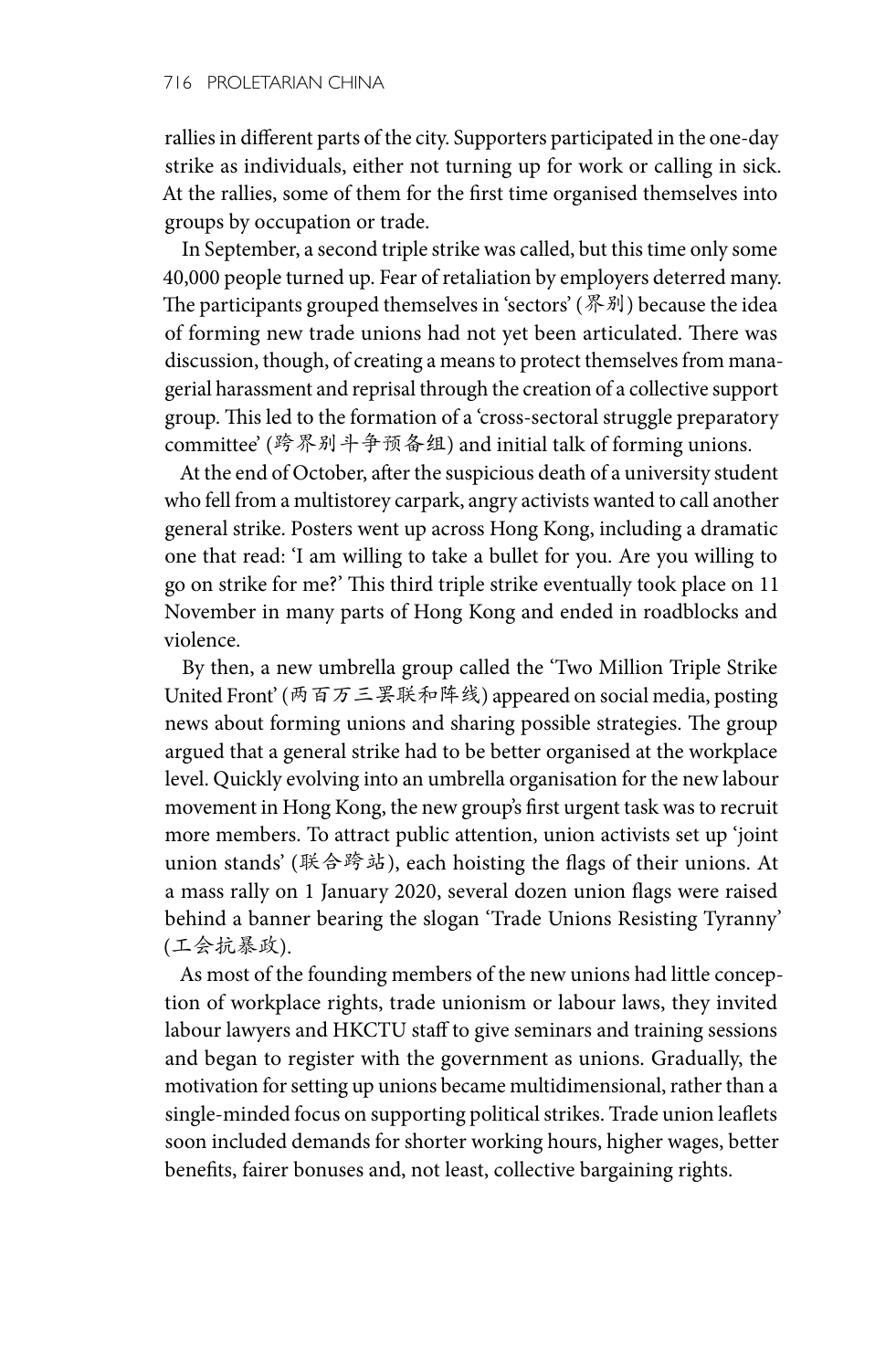rallies in different parts of the city. Supporters participated in the one-day strike as individuals, either not turning up for work or calling in sick. At the rallies, some of them for the first time organised themselves into groups by occupation or trade.

In September, a second triple strike was called, but this time only some 40,000 people turned up. Fear of retaliation by employers deterred many. The participants grouped themselves in 'sectors' (界别) because the idea of forming new trade unions had not yet been articulated. There was discussion, though, of creating a means to protect themselves from managerial harassment and reprisal through the creation of a collective support group. This led to the formation of a 'cross-sectoral struggle preparatory committee' (跨界别斗争预备组) and initial talk of forming unions.

At the end of October, after the suspicious death of a university student who fell from a multistorey carpark, angry activists wanted to call another general strike. Posters went up across Hong Kong, including a dramatic one that read: 'I am willing to take a bullet for you. Are you willing to go on strike for me?' This third triple strike eventually took place on 11 November in many parts of Hong Kong and ended in roadblocks and violence.

By then, a new umbrella group called the 'Two Million Triple Strike United Front' (两百万三罢联和阵线) appeared on social media, posting news about forming unions and sharing possible strategies. The group argued that a general strike had to be better organised at the workplace level. Quickly evolving into an umbrella organisation for the new labour movement in Hong Kong, the new group's first urgent task was to recruit more members. To attract public attention, union activists set up 'joint union stands' (联合跨站), each hoisting the flags of their unions. At a mass rally on 1 January 2020, several dozen union flags were raised behind a banner bearing the slogan 'Trade Unions Resisting Tyranny' (工会抗暴政).

As most of the founding members of the new unions had little conception of workplace rights, trade unionism or labour laws, they invited labour lawyers and HKCTU staff to give seminars and training sessions and began to register with the government as unions. Gradually, the motivation for setting up unions became multidimensional, rather than a single-minded focus on supporting political strikes. Trade union leaflets soon included demands for shorter working hours, higher wages, better benefits, fairer bonuses and, not least, collective bargaining rights.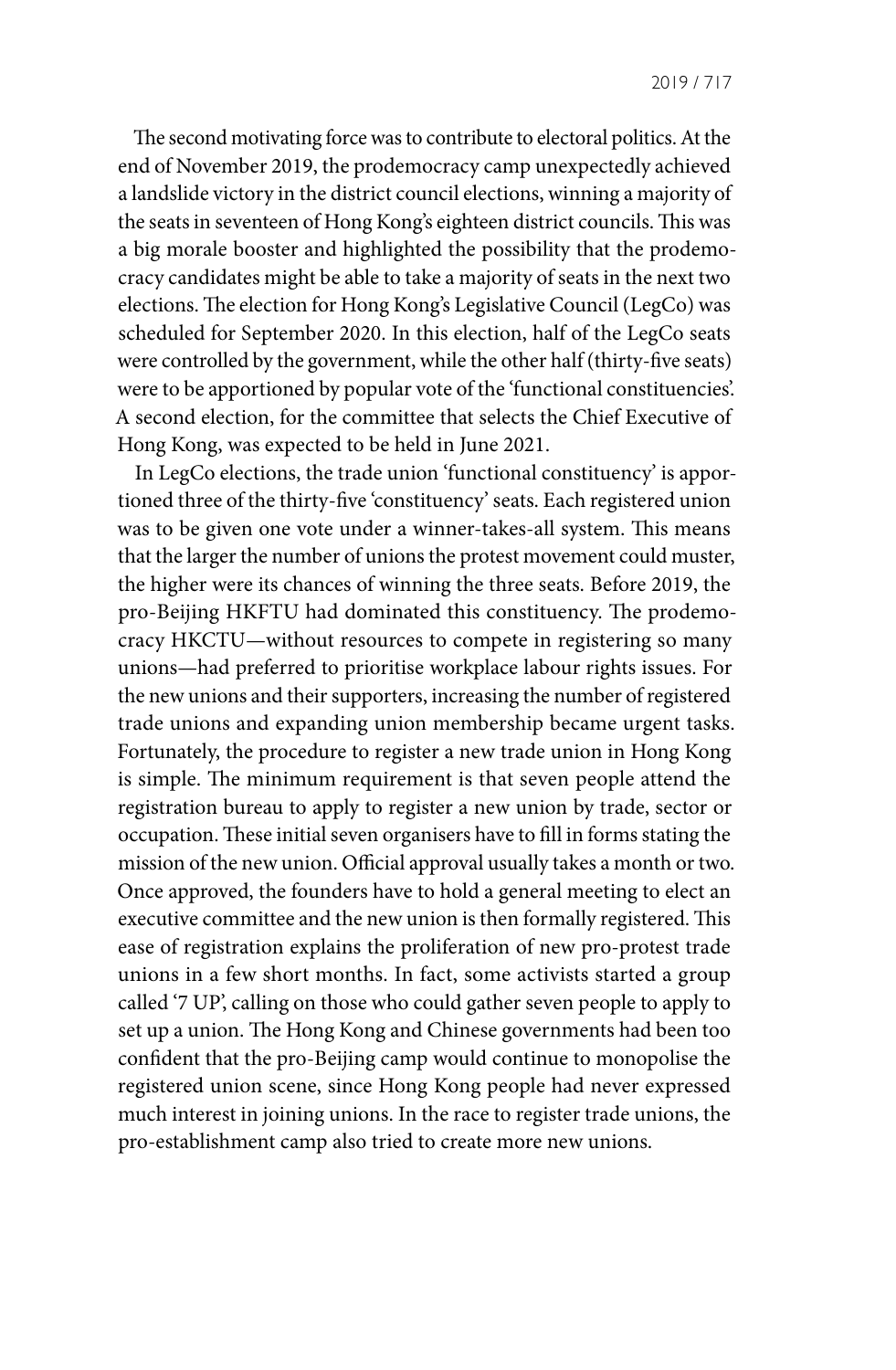The second motivating force was to contribute to electoral politics. At the end of November 2019, the prodemocracy camp unexpectedly achieved a landslide victory in the district council elections, winning a majority of the seats in seventeen of Hong Kong's eighteen district councils. This was a big morale booster and highlighted the possibility that the prodemocracy candidates might be able to take a majority of seats in the next two elections. The election for Hong Kong's Legislative Council (LegCo) was scheduled for September 2020. In this election, half of the LegCo seats were controlled by the government, while the other half (thirty-five seats) were to be apportioned by popular vote of the 'functional constituencies'. A second election, for the committee that selects the Chief Executive of Hong Kong, was expected to be held in June 2021.

In LegCo elections, the trade union 'functional constituency' is apportioned three of the thirty-five 'constituency' seats. Each registered union was to be given one vote under a winner-takes-all system. This means that the larger the number of unions the protest movement could muster, the higher were its chances of winning the three seats. Before 2019, the pro-Beijing HKFTU had dominated this constituency. The prodemocracy HKCTU—without resources to compete in registering so many unions—had preferred to prioritise workplace labour rights issues. For the new unions and their supporters, increasing the number of registered trade unions and expanding union membership became urgent tasks. Fortunately, the procedure to register a new trade union in Hong Kong is simple. The minimum requirement is that seven people attend the registration bureau to apply to register a new union by trade, sector or occupation. These initial seven organisers have to fill in forms stating the mission of the new union. Official approval usually takes a month or two. Once approved, the founders have to hold a general meeting to elect an executive committee and the new union is then formally registered. This ease of registration explains the proliferation of new pro-protest trade unions in a few short months. In fact, some activists started a group called '7 UP', calling on those who could gather seven people to apply to set up a union. The Hong Kong and Chinese governments had been too confident that the pro-Beijing camp would continue to monopolise the registered union scene, since Hong Kong people had never expressed much interest in joining unions. In the race to register trade unions, the pro-establishment camp also tried to create more new unions.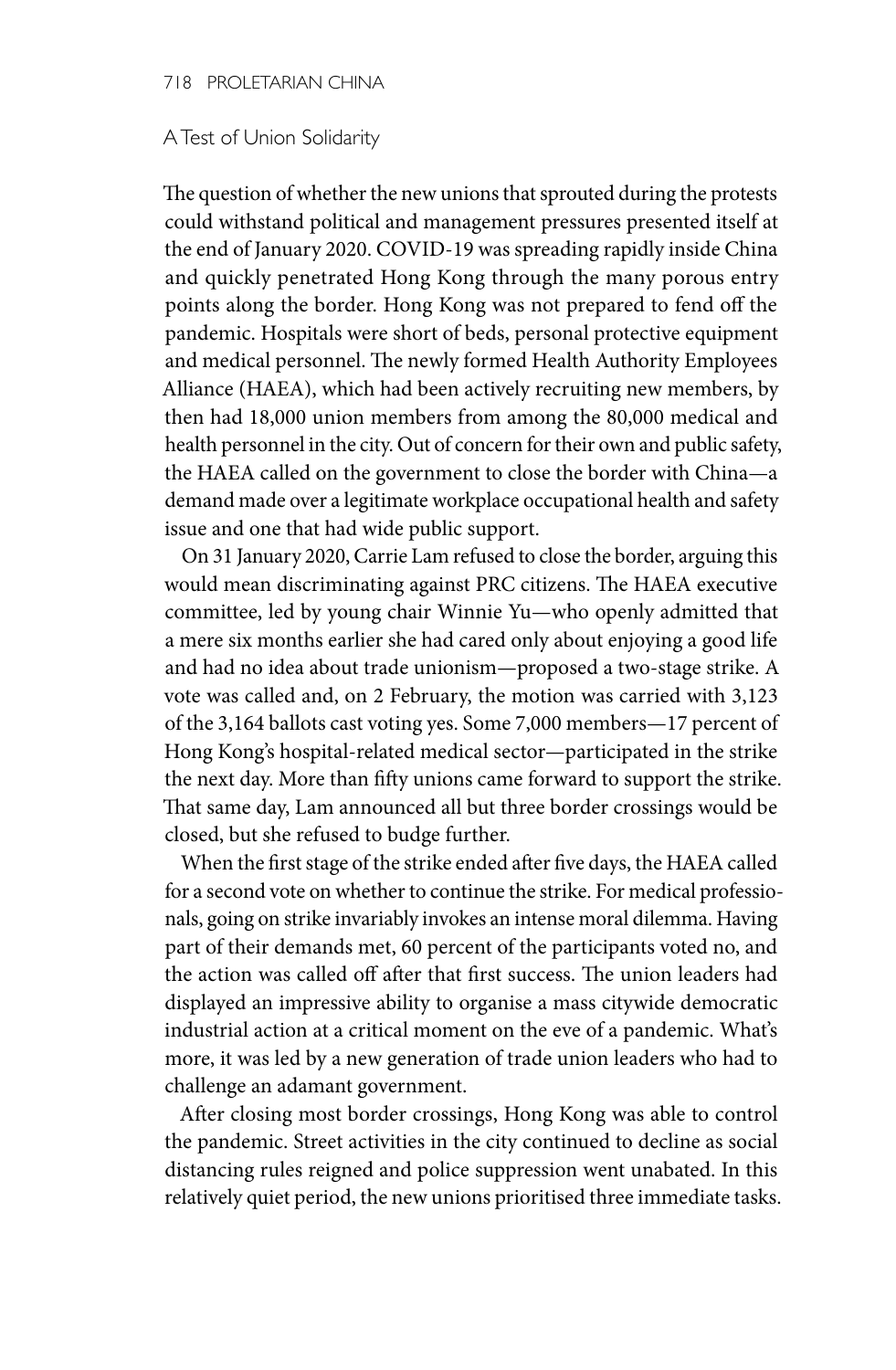#### 718 PROLETARIAN CHINA

#### A Test of Union Solidarity

The question of whether the new unions that sprouted during the protests could withstand political and management pressures presented itself at the end of January 2020. COVID-19 was spreading rapidly inside China and quickly penetrated Hong Kong through the many porous entry points along the border. Hong Kong was not prepared to fend off the pandemic. Hospitals were short of beds, personal protective equipment and medical personnel. The newly formed Health Authority Employees Alliance (HAEA), which had been actively recruiting new members, by then had 18,000 union members from among the 80,000 medical and health personnel in the city. Out of concern for their own and public safety, the HAEA called on the government to close the border with China—a demand made over a legitimate workplace occupational health and safety issue and one that had wide public support.

On 31 January 2020, Carrie Lam refused to close the border, arguing this would mean discriminating against PRC citizens. The HAEA executive committee, led by young chair Winnie Yu—who openly admitted that a mere six months earlier she had cared only about enjoying a good life and had no idea about trade unionism—proposed a two-stage strike. A vote was called and, on 2 February, the motion was carried with 3,123 of the 3,164 ballots cast voting yes. Some 7,000 members—17 percent of Hong Kong's hospital-related medical sector—participated in the strike the next day. More than fifty unions came forward to support the strike. That same day, Lam announced all but three border crossings would be closed, but she refused to budge further.

When the first stage of the strike ended after five days, the HAEA called for a second vote on whether to continue the strike. For medical professionals, going on strike invariably invokes an intense moral dilemma. Having part of their demands met, 60 percent of the participants voted no, and the action was called off after that first success. The union leaders had displayed an impressive ability to organise a mass citywide democratic industrial action at a critical moment on the eve of a pandemic. What's more, it was led by a new generation of trade union leaders who had to challenge an adamant government.

After closing most border crossings, Hong Kong was able to control the pandemic. Street activities in the city continued to decline as social distancing rules reigned and police suppression went unabated. In this relatively quiet period, the new unions prioritised three immediate tasks.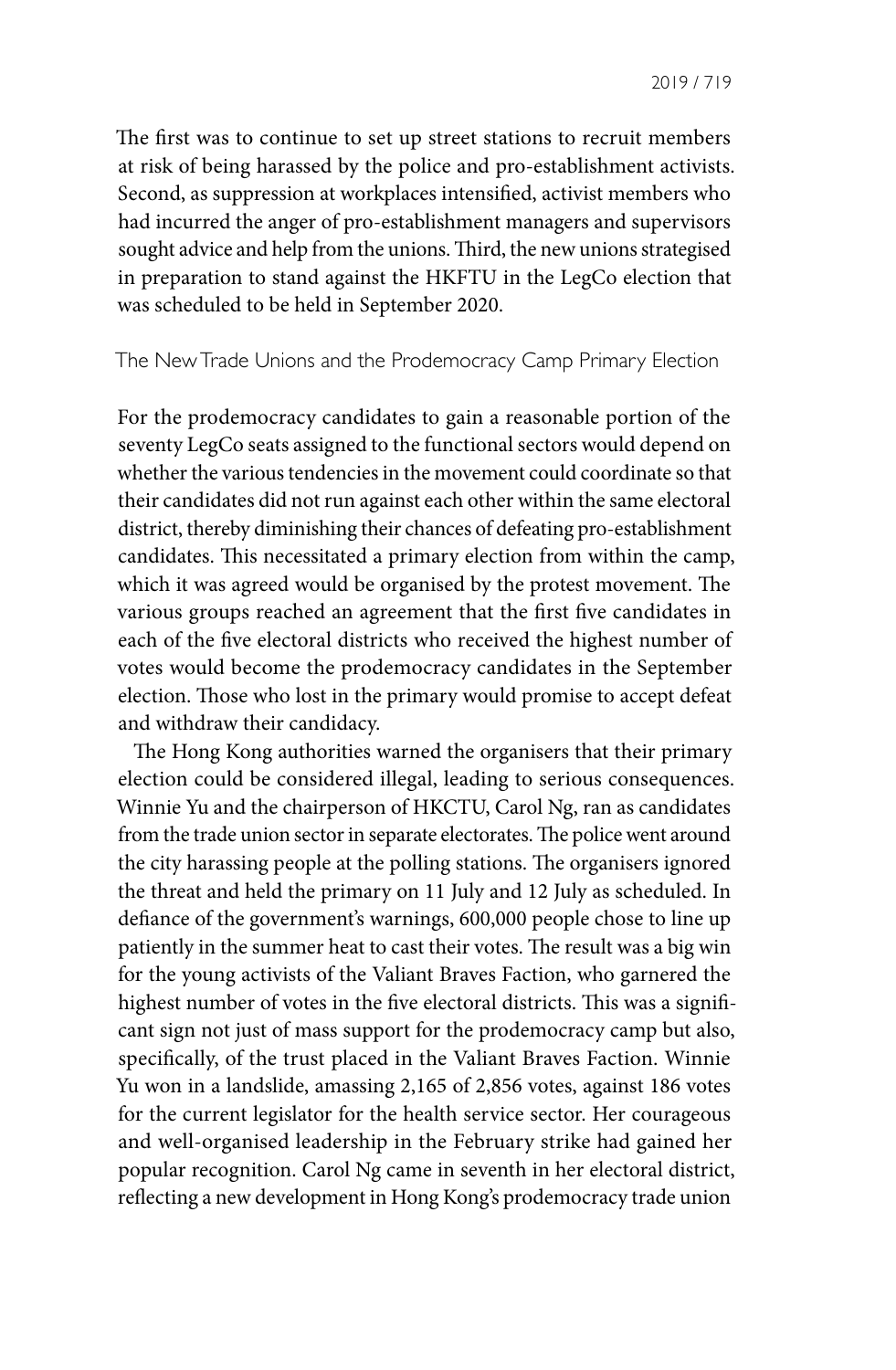The first was to continue to set up street stations to recruit members at risk of being harassed by the police and pro-establishment activists. Second, as suppression at workplaces intensified, activist members who had incurred the anger of pro-establishment managers and supervisors sought advice and help from the unions. Third, the new unions strategised in preparation to stand against the HKFTU in the LegCo election that was scheduled to be held in September 2020.

# The New Trade Unions and the Prodemocracy Camp Primary Election

For the prodemocracy candidates to gain a reasonable portion of the seventy LegCo seats assigned to the functional sectors would depend on whether the various tendencies in the movement could coordinate so that their candidates did not run against each other within the same electoral district, thereby diminishing their chances of defeating pro-establishment candidates. This necessitated a primary election from within the camp, which it was agreed would be organised by the protest movement. The various groups reached an agreement that the first five candidates in each of the five electoral districts who received the highest number of votes would become the prodemocracy candidates in the September election. Those who lost in the primary would promise to accept defeat and withdraw their candidacy.

The Hong Kong authorities warned the organisers that their primary election could be considered illegal, leading to serious consequences. Winnie Yu and the chairperson of HKCTU, Carol Ng, ran as candidates from the trade union sector in separate electorates. The police went around the city harassing people at the polling stations. The organisers ignored the threat and held the primary on 11 July and 12 July as scheduled. In defiance of the government's warnings, 600,000 people chose to line up patiently in the summer heat to cast their votes. The result was a big win for the young activists of the Valiant Braves Faction, who garnered the highest number of votes in the five electoral districts. This was a significant sign not just of mass support for the prodemocracy camp but also, specifically, of the trust placed in the Valiant Braves Faction. Winnie Yu won in a landslide, amassing 2,165 of 2,856 votes, against 186 votes for the current legislator for the health service sector. Her courageous and well-organised leadership in the February strike had gained her popular recognition. Carol Ng came in seventh in her electoral district, reflecting a new development in Hong Kong's prodemocracy trade union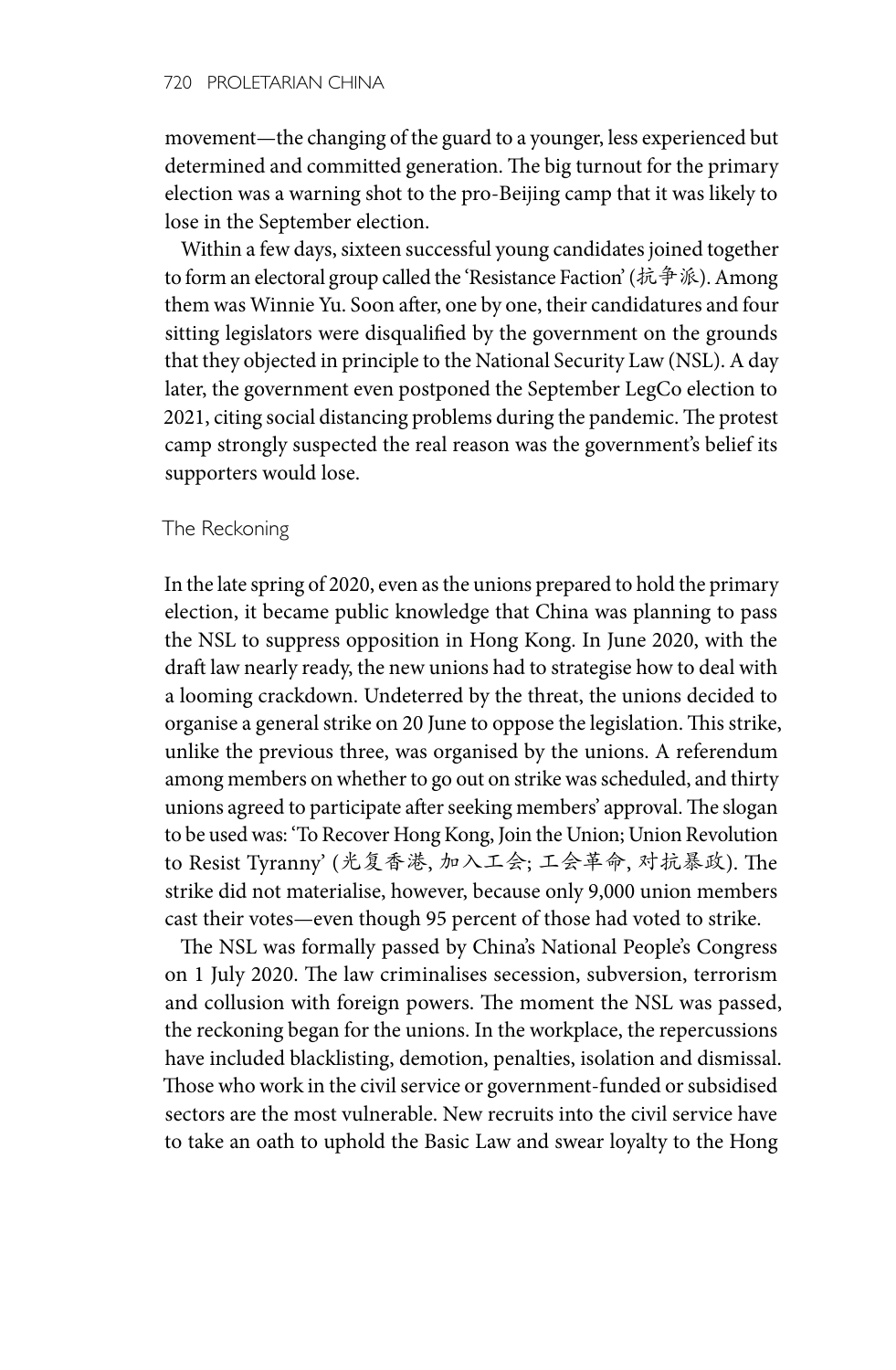movement—the changing of the guard to a younger, less experienced but determined and committed generation. The big turnout for the primary election was a warning shot to the pro-Beijing camp that it was likely to lose in the September election.

Within a few days, sixteen successful young candidates joined together to form an electoral group called the 'Resistance Faction' (抗争派). Among them was Winnie Yu. Soon after, one by one, their candidatures and four sitting legislators were disqualified by the government on the grounds that they objected in principle to the National Security Law (NSL). A day later, the government even postponed the September LegCo election to 2021, citing social distancing problems during the pandemic. The protest camp strongly suspected the real reason was the government's belief its supporters would lose.

### The Reckoning

In the late spring of 2020, even as the unions prepared to hold the primary election, it became public knowledge that China was planning to pass the NSL to suppress opposition in Hong Kong. In June 2020, with the draft law nearly ready, the new unions had to strategise how to deal with a looming crackdown. Undeterred by the threat, the unions decided to organise a general strike on 20 June to oppose the legislation. This strike, unlike the previous three, was organised by the unions. A referendum among members on whether to go out on strike was scheduled, and thirty unions agreed to participate after seeking members' approval. The slogan to be used was: 'To Recover Hong Kong, Join the Union; Union Revolution to Resist Tyranny' (光复香港, 加入工会; 工会革命, 对抗暴政). The strike did not materialise, however, because only 9,000 union members cast their votes—even though 95 percent of those had voted to strike.

The NSL was formally passed by China's National People's Congress on 1 July 2020. The law criminalises secession, subversion, terrorism and collusion with foreign powers. The moment the NSL was passed, the reckoning began for the unions. In the workplace, the repercussions have included blacklisting, demotion, penalties, isolation and dismissal. Those who work in the civil service or government-funded or subsidised sectors are the most vulnerable. New recruits into the civil service have to take an oath to uphold the Basic Law and swear loyalty to the Hong